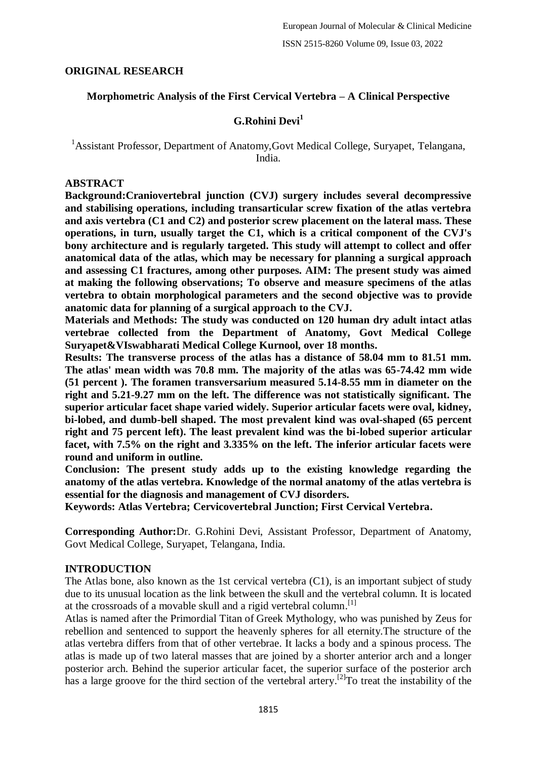### **ORIGINAL RESEARCH**

### **Morphometric Analysis of the First Cervical Vertebra – A Clinical Perspective**

### **G.Rohini Devi<sup>1</sup>**

<sup>1</sup> Assistant Professor, Department of Anatomy, Govt Medical College, Survapet, Telangana, India.

#### **ABSTRACT**

**Background:Craniovertebral junction (CVJ) surgery includes several decompressive and stabilising operations, including transarticular screw fixation of the atlas vertebra and axis vertebra (C1 and C2) and posterior screw placement on the lateral mass. These operations, in turn, usually target the C1, which is a critical component of the CVJ's bony architecture and is regularly targeted. This study will attempt to collect and offer anatomical data of the atlas, which may be necessary for planning a surgical approach and assessing C1 fractures, among other purposes. AIM: The present study was aimed at making the following observations; To observe and measure specimens of the atlas vertebra to obtain morphological parameters and the second objective was to provide anatomic data for planning of a surgical approach to the CVJ.**

**Materials and Methods: The study was conducted on 120 human dry adult intact atlas vertebrae collected from the Department of Anatomy, Govt Medical College Suryapet&VIswabharati Medical College Kurnool, over 18 months.**

**Results: The transverse process of the atlas has a distance of 58.04 mm to 81.51 mm. The atlas' mean width was 70.8 mm. The majority of the atlas was 65-74.42 mm wide (51 percent ). The foramen transversarium measured 5.14-8.55 mm in diameter on the right and 5.21-9.27 mm on the left. The difference was not statistically significant. The superior articular facet shape varied widely. Superior articular facets were oval, kidney, bi-lobed, and dumb-bell shaped. The most prevalent kind was oval-shaped (65 percent right and 75 percent left). The least prevalent kind was the bi-lobed superior articular facet, with 7.5% on the right and 3.335% on the left. The inferior articular facets were round and uniform in outline.**

**Conclusion: The present study adds up to the existing knowledge regarding the anatomy of the atlas vertebra. Knowledge of the normal anatomy of the atlas vertebra is essential for the diagnosis and management of CVJ disorders.**

**Keywords: Atlas Vertebra; Cervicovertebral Junction; First Cervical Vertebra.**

**Corresponding Author:**Dr. G.Rohini Devi, Assistant Professor, Department of Anatomy, Govt Medical College, Suryapet, Telangana, India.

#### **INTRODUCTION**

The Atlas bone, also known as the 1st cervical vertebra (C1), is an important subject of study due to its unusual location as the link between the skull and the vertebral column. It is located at the crossroads of a movable skull and a rigid vertebral column.<sup>[1]</sup>

Atlas is named after the Primordial Titan of Greek Mythology, who was punished by Zeus for rebellion and sentenced to support the heavenly spheres for all eternity.The structure of the atlas vertebra differs from that of other vertebrae. It lacks a body and a spinous process. The atlas is made up of two lateral masses that are joined by a shorter anterior arch and a longer posterior arch. Behind the superior articular facet, the superior surface of the posterior arch has a large groove for the third section of the vertebral artery.<sup>[2]</sup>To treat the instability of the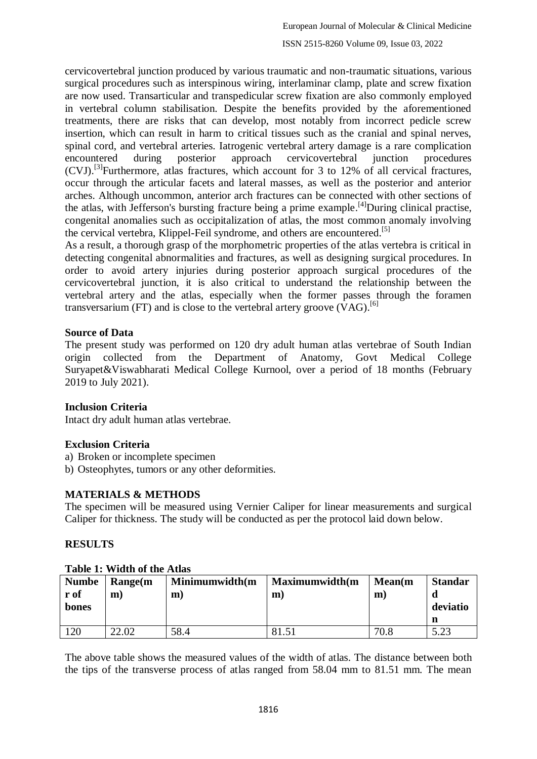cervicovertebral junction produced by various traumatic and non-traumatic situations, various surgical procedures such as interspinous wiring, interlaminar clamp, plate and screw fixation are now used. Transarticular and transpedicular screw fixation are also commonly employed in vertebral column stabilisation. Despite the benefits provided by the aforementioned treatments, there are risks that can develop, most notably from incorrect pedicle screw insertion, which can result in harm to critical tissues such as the cranial and spinal nerves, spinal cord, and vertebral arteries. Iatrogenic vertebral artery damage is a rare complication encountered during posterior approach cervicovertebral junction procedures (CVJ). [3]Furthermore, atlas fractures, which account for 3 to 12% of all cervical fractures, occur through the articular facets and lateral masses, as well as the posterior and anterior arches. Although uncommon, anterior arch fractures can be connected with other sections of the atlas, with Jefferson's bursting fracture being a prime example.<sup>[4]</sup>During clinical practise, congenital anomalies such as occipitalization of atlas, the most common anomaly involving the cervical vertebra, Klippel-Feil syndrome, and others are encountered.<sup>[5]</sup>

As a result, a thorough grasp of the morphometric properties of the atlas vertebra is critical in detecting congenital abnormalities and fractures, as well as designing surgical procedures. In order to avoid artery injuries during posterior approach surgical procedures of the cervicovertebral junction, it is also critical to understand the relationship between the vertebral artery and the atlas, especially when the former passes through the foramen transversarium (FT) and is close to the vertebral artery groove  $(\text{VAG})$ .<sup>[6]</sup>

### **Source of Data**

The present study was performed on 120 dry adult human atlas vertebrae of South Indian origin collected from the Department of Anatomy, Govt Medical College Suryapet&Viswabharati Medical College Kurnool, over a period of 18 months (February 2019 to July 2021).

### **Inclusion Criteria**

Intact dry adult human atlas vertebrae.

### **Exclusion Criteria**

- a) Broken or incomplete specimen
- b) Osteophytes, tumors or any other deformities.

### **MATERIALS & METHODS**

The specimen will be measured using Vernier Caliper for linear measurements and surgical Caliper for thickness. The study will be conducted as per the protocol laid down below.

#### **RESULTS**

| <b>Numbe</b>  | A WAXAY AT TITAWAA YA WAAY LAVAWA<br>Range(m | Minimumwidth(m | Maximumwidth(m | Mean(m) | <b>Standar</b> |
|---------------|----------------------------------------------|----------------|----------------|---------|----------------|
| r of<br>bones | m                                            | m              | m              | m       | deviatio       |
|               |                                              |                |                |         |                |
| 120           | 22.02                                        | 58.4           | 81.51          | 70.8    | 5.23           |

#### **Table 1: Width of the Atlas**

The above table shows the measured values of the width of atlas. The distance between both the tips of the transverse process of atlas ranged from 58.04 mm to 81.51 mm. The mean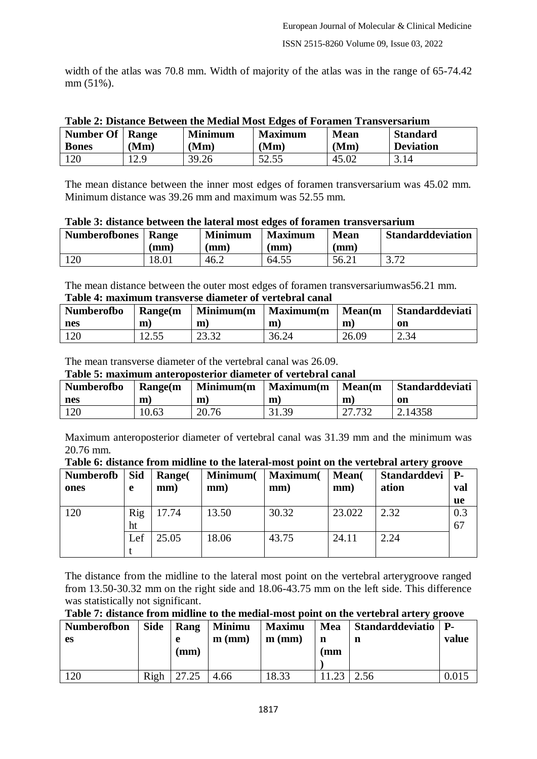width of the atlas was 70.8 mm. Width of majority of the atlas was in the range of 65-74.42 mm (51%).

| Table 2: Distance Between the Medial Most Edges of Foramen Transversarium |      |                |         |      |                  |  |  |  |  |
|---------------------------------------------------------------------------|------|----------------|---------|------|------------------|--|--|--|--|
| Number Of   Range                                                         |      | <b>Minimum</b> | Maximum | Mean | <b>Standard</b>  |  |  |  |  |
|                                                                           |      |                |         |      | <b>Deviation</b> |  |  |  |  |
| <b>Bones</b>                                                              | (Mm) | (Mm)           | (Mm)    | (Mm) |                  |  |  |  |  |

|  |  |  |  |  |  |  | Table 2: Distance Between the Medial Most Edges of Foramen Transversarium |
|--|--|--|--|--|--|--|---------------------------------------------------------------------------|
|--|--|--|--|--|--|--|---------------------------------------------------------------------------|

The mean distance between the inner most edges of foramen transversarium was 45.02 mm. Minimum distance was 39.26 mm and maximum was 52.55 mm.

| <b>Numberofbones</b> | Range | <b>Minimum</b> | <b>Maximum</b>         | <b>Mean</b>     | <b>Standarddeviation</b> |  |  |  |
|----------------------|-------|----------------|------------------------|-----------------|--------------------------|--|--|--|
|                      | (mm)  | mm)            | $\mathbf{m}\mathbf{m}$ | $(\mathbf{mm})$ |                          |  |  |  |
| 120                  | 18.01 | 46.2           | 64.55                  | 56.21           | 2.72                     |  |  |  |

### **Table 3: distance between the lateral most edges of foramen transversarium**

The mean distance between the outer most edges of foramen transversariumwas56.21 mm. **Table 4: maximum transverse diameter of vertebral canal**

| <b>Numberofbo</b> | Range(m | Minimum(m)     | <b>Maximum</b> (m) | Mean(m) | <b>Standarddeviati</b> |
|-------------------|---------|----------------|--------------------|---------|------------------------|
| nes               | m       | m              | m                  | m       | <sub>on</sub>          |
| 120               | .2.55   | ററ ററ<br>20.02 | 36.24              | 26.09   | 2.34                   |

The mean transverse diameter of the vertebral canal was 26.09.

#### **Table 5: maximum anteroposterior diameter of vertebral canal**

| <b>Numberofbo</b> | Range(m | $\mid$ Minimum $(m$ | Maximum(m   Mean(m |        | Standarddeviati |
|-------------------|---------|---------------------|--------------------|--------|-----------------|
| nes               | m       | m                   | m                  | m      | on              |
| 120               | 10.63   | 20.76               | 31.39              | 27.732 | 2.14358         |

Maximum anteroposterior diameter of vertebral canal was 31.39 mm and the minimum was 20.76 mm.

**Table 6: distance from midline to the lateral-most point on the vertebral artery groove**

| <b>Numberofb</b><br>ones | Sid<br>e  | <b>Range</b><br>mm) | Minimum(<br>mm) | <b>Maximum</b> (<br>mm) | Mean(<br>mm) | <b>Standarddevi</b><br>ation | <b>P</b> -<br>val<br>ue |
|--------------------------|-----------|---------------------|-----------------|-------------------------|--------------|------------------------------|-------------------------|
| 120                      | Rig<br>ht | 17.74               | 13.50           | 30.32                   | 23.022       | 2.32                         | 0.3<br>67               |
|                          | Lef       | 25.05               | 18.06           | 43.75                   | 24.11        | 2.24                         |                         |

The distance from the midline to the lateral most point on the vertebral arterygroove ranged from 13.50-30.32 mm on the right side and 18.06-43.75 mm on the left side. This difference was statistically not significant.

| Table 7: distance from midline to the medial-most point on the vertebral artery groove |  |
|----------------------------------------------------------------------------------------|--|
|----------------------------------------------------------------------------------------|--|

| <b>Numberofbon</b><br><b>es</b> | <b>Side</b> | Rang<br>e<br>$(\mathbf{mm})$ | <b>Minimu</b><br>$m$ (mm) | <b>Maximu</b><br>$m$ (mm) | Mea<br>n<br>(mm | <b>Standarddeviatio</b><br>n | <b>P.</b><br>value |
|---------------------------------|-------------|------------------------------|---------------------------|---------------------------|-----------------|------------------------------|--------------------|
| 120                             | Righ        | 27.25                        | 4.66                      | 18.33                     |                 | 2.56                         | 0.015              |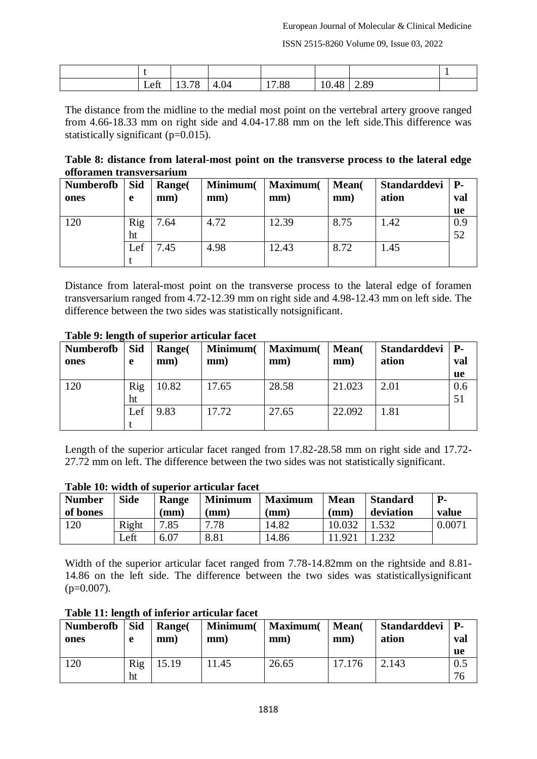ISSN 2515-8260 Volume 09, Issue 03, 2022

| eft<br>LVIL | $70^{\circ}$<br>ึບ<br>10. I | 4.04 | $^{\prime}.88$ | 10.48 | 2.89 |  |
|-------------|-----------------------------|------|----------------|-------|------|--|

The distance from the midline to the medial most point on the vertebral artery groove ranged from 4.66-18.33 mm on right side and 4.04-17.88 mm on the left side.This difference was statistically significant (p=0.015).

**Table 8: distance from lateral-most point on the transverse process to the lateral edge offoramen transversarium**

| <b>Numberofb</b> | <b>Sid</b> | Range( | Minimum( | <b>Maximum</b> | Mean( | Standarddevi   P- |     |
|------------------|------------|--------|----------|----------------|-------|-------------------|-----|
| ones             | e          | mm)    | mm)      | mm)            | mm)   | ation             | val |
|                  |            |        |          |                |       |                   | ue  |
| 120              | Rig        | 7.64   | 4.72     | 12.39          | 8.75  | 1.42              | 0.9 |
|                  | ht         |        |          |                |       |                   | 52  |
|                  | Lef        | '.45   | 4.98     | 12.43          | 8.72  | 1.45              |     |
|                  |            |        |          |                |       |                   |     |

Distance from lateral-most point on the transverse process to the lateral edge of foramen transversarium ranged from 4.72-12.39 mm on right side and 4.98-12.43 mm on left side. The difference between the two sides was statistically notsignificant.

| <b>Numberofb</b><br>ones | <b>Sid</b><br>e | <b>Range</b><br>mm) | Minimum(<br>mm) | <b>Maximum</b><br>mm) | Mean(<br>mm) | Standarddevi   P-<br>ation | val<br><b>ue</b> |
|--------------------------|-----------------|---------------------|-----------------|-----------------------|--------------|----------------------------|------------------|
| 120                      | Rig             | 10.82               | 17.65           | 28.58                 | 21.023       | 2.01                       | 0.6              |
|                          | ht              |                     |                 |                       |              |                            | 51               |
|                          | Lef             | 9.83                | 17.72           | 27.65                 | 22.092       | 1.81                       |                  |
|                          |                 |                     |                 |                       |              |                            |                  |

#### **Table 9: length of superior articular facet**

Length of the superior articular facet ranged from 17.82-28.58 mm on right side and 17.72- 27.72 mm on left. The difference between the two sides was not statistically significant.

| <b>Number</b><br>of bones | <b>Side</b> | Range<br>$(\mathbf{mm})$ | <b>Minimum</b><br>mm) | <b>Maximum</b><br>(mm) | <b>Mean</b><br>$'$ mm, | <b>Standard</b><br>deviation | $P-$<br>value |
|---------------------------|-------------|--------------------------|-----------------------|------------------------|------------------------|------------------------------|---------------|
| 120                       | Right       | 7.85                     | .78                   | 14.82                  | 10.032                 |                              | 0.0071        |
|                           | Left        | 6.07                     | 8.81                  | 14.86                  | 1.921                  |                              |               |

**Table 10: width of superior articular facet**

Width of the superior articular facet ranged from 7.78-14.82mm on the rightside and 8.81- 14.86 on the left side. The difference between the two sides was statisticallysignificant  $(p=0.007)$ .

| Table 11: length of inferior articular facet |  |  |
|----------------------------------------------|--|--|
|                                              |  |  |

| <b>Numberofb</b> | <b>Sid</b> | <b>Range</b> | Minimum( | <b>Maximum</b> ( | Mean(  | Standarddevi   P- | val       |
|------------------|------------|--------------|----------|------------------|--------|-------------------|-----------|
| ones             | e          | mm)          | mm)      | mm)              | mm)    | ation             | ue        |
| 120              | Rig<br>ht  | 5.19         | 1.45     | 26.65            | 17.176 | 2.143             | 0.5<br>76 |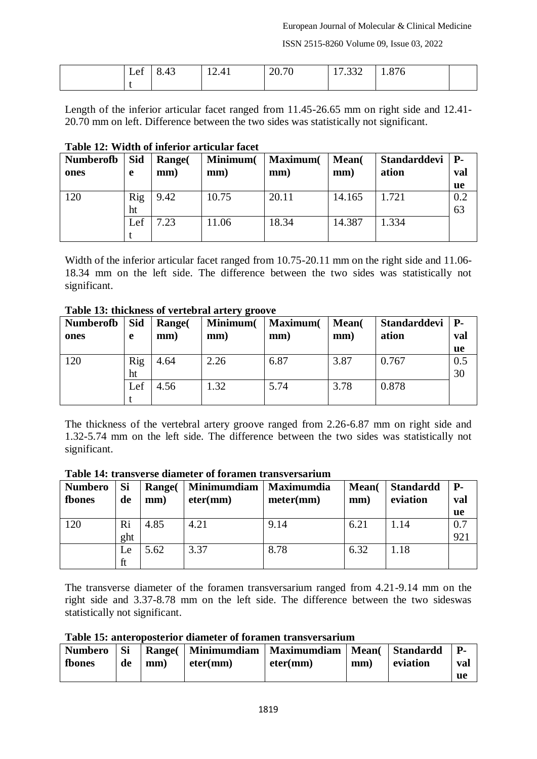ISSN 2515-8260 Volume 09, Issue 03, 2022

| $\sim$<br>Let | $\sim$<br>8.43<br>ັ | $\sim$<br>$\mathbf{4}^{\prime}$<br>12.71 | 20.70 | 222<br>11.332 | 1.876 |  |
|---------------|---------------------|------------------------------------------|-------|---------------|-------|--|
|               |                     |                                          |       |               |       |  |

Length of the inferior articular facet ranged from 11.45-26.65 mm on right side and 12.41- 20.70 mm on left. Difference between the two sides was statistically not significant.

| <b>Numberofb</b> | Sid | Range( | Minimum( | <b>Maximum</b> | Mean(  | <b>Standarddevi</b> | <b>P</b> - |
|------------------|-----|--------|----------|----------------|--------|---------------------|------------|
| ones             | e   | mm)    | mm)      | mm)            | mm)    | ation               | val        |
|                  |     |        |          |                |        |                     | <b>ue</b>  |
| 120              | Rig | 9.42   | 10.75    | 20.11          | 14.165 | 1.721               | 0.2        |
|                  | ht  |        |          |                |        |                     | 63         |
|                  | Lef | 1.23   | 11.06    | 18.34          | 14.387 | 1.334               |            |
|                  |     |        |          |                |        |                     |            |

#### **Table 12: Width of inferior articular facet**

Width of the inferior articular facet ranged from 10.75-20.11 mm on the right side and 11.06- 18.34 mm on the left side. The difference between the two sides was statistically not significant.

#### **Table 13: thickness of vertebral artery groove**

| <b>Numberofb</b> | <b>Sid</b> | <b>Range</b> | Minimum( | <b>Maximum</b> ( | Mean( | <b>Standarddevi</b> | <b>P</b> - |
|------------------|------------|--------------|----------|------------------|-------|---------------------|------------|
| ones             | e          | mm)          | mm)      | mm)              | mm)   | ation               | val        |
|                  |            |              |          |                  |       |                     | ue         |
| 120              | Rig        | 4.64         | 2.26     | 6.87             | 3.87  | 0.767               | 0.5        |
|                  | ht         |              |          |                  |       |                     | 30         |
|                  | Lef        | 4.56         | 1.32     | 5.74             | 3.78  | 0.878               |            |
|                  |            |              |          |                  |       |                     |            |

The thickness of the vertebral artery groove ranged from 2.26-6.87 mm on right side and 1.32-5.74 mm on the left side. The difference between the two sides was statistically not significant.

| <b>Numbero</b><br>fbones | Si<br>de | <b>Range</b><br>mm) | <b>Minimumdiam</b><br>eter(mm) | <b>Maximumdia</b><br>meter(mm) | Mean(<br>mm) | <b>Standardd</b><br>eviation | <b>P</b> -<br>val |
|--------------------------|----------|---------------------|--------------------------------|--------------------------------|--------------|------------------------------|-------------------|
|                          |          |                     |                                |                                |              |                              | ue                |
| 120                      | Ri       | 4.85                | 4.21                           | 9.14                           | 6.21         | 1.14                         | 0.7               |
|                          | ght      |                     |                                |                                |              |                              | 921               |
|                          | Le       | 5.62                | 3.37                           | 8.78                           | 6.32         | 1.18                         |                   |
|                          | ft       |                     |                                |                                |              |                              |                   |

#### **Table 14: transverse diameter of foramen transversarium**

The transverse diameter of the foramen transversarium ranged from 4.21-9.14 mm on the right side and 3.37-8.78 mm on the left side. The difference between the two sideswas statistically not significant.

**Table 15: anteroposterior diameter of foramen transversarium**

| <b>Numbero</b> | Si | <b>Range</b>    |  | Minimumdiam   Maximumdiam   Mean(   Standardd |     |          | <b>P.</b> |
|----------------|----|-----------------|--|-----------------------------------------------|-----|----------|-----------|
| fbones         | de | eter(mm)<br>mm) |  | eter(mm)                                      | mm) | eviation | val       |
|                |    |                 |  |                                               |     |          | ue        |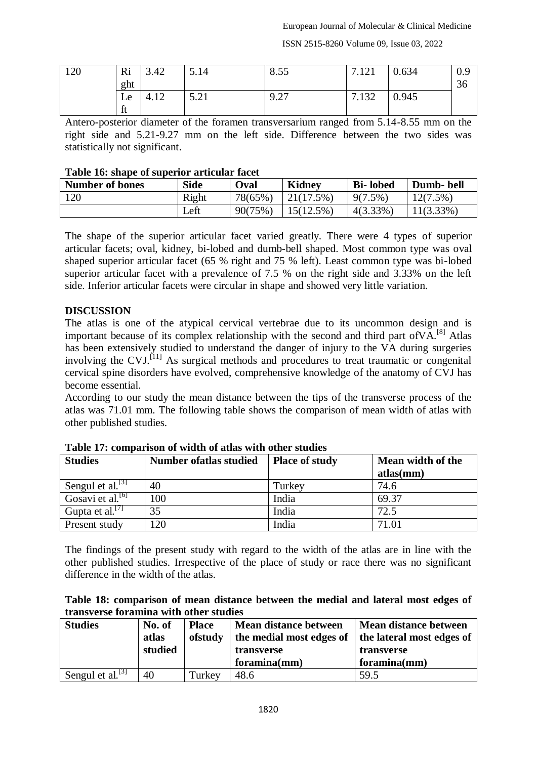ISSN 2515-8260 Volume 09, Issue 03, 2022

| 120 | Ri<br>ght | 3.42 | 5.14                | 8.55 | 7.121 | 0.634 | 0.9<br>$\sim$<br>30 |
|-----|-----------|------|---------------------|------|-------|-------|---------------------|
|     | Le.<br>ft | 4.12 | 5.21<br>$J \cdot L$ | 9.27 | 7.132 | 0.945 |                     |

Antero-posterior diameter of the foramen transversarium ranged from 5.14-8.55 mm on the right side and 5.21-9.27 mm on the left side. Difference between the two sides was statistically not significant.

#### **Table 16: shape of superior articular facet**

| <b>Number of bones</b> | <b>Side</b> | Oval    | <b>Kidney</b> | <b>Bi-lobed</b> | Dumb-bell    |
|------------------------|-------------|---------|---------------|-----------------|--------------|
| 120                    | Right       | 78(65%) | 21(17.5%)     | $9(7.5\%)$      | 12(7.5%)     |
|                        | Left        | 90(75%) | $15(12.5\%)$  | $4(3.33\%)$     | $11(3.33\%)$ |

The shape of the superior articular facet varied greatly. There were 4 types of superior articular facets; oval, kidney, bi-lobed and dumb-bell shaped. Most common type was oval shaped superior articular facet (65 % right and 75 % left). Least common type was bi-lobed superior articular facet with a prevalence of 7.5 % on the right side and 3.33% on the left side. Inferior articular facets were circular in shape and showed very little variation.

#### **DISCUSSION**

The atlas is one of the atypical cervical vertebrae due to its uncommon design and is important because of its complex relationship with the second and third part of VA.<sup>[8]</sup> Atlas has been extensively studied to understand the danger of injury to the VA during surgeries involving the CVJ.<sup>[11]</sup> As surgical methods and procedures to treat traumatic or congenital cervical spine disorders have evolved, comprehensive knowledge of the anatomy of CVJ has become essential.

According to our study the mean distance between the tips of the transverse process of the atlas was 71.01 mm. The following table shows the comparison of mean width of atlas with other published studies.

| <b>Studies</b>                 | <b>Number of atlas studied</b> | <b>Place of study</b> | Mean width of the |
|--------------------------------|--------------------------------|-----------------------|-------------------|
|                                |                                |                       | atlas(mm)         |
| Sengul et al. $\left[3\right]$ | 40                             | Turkey                | 74.6              |
| Gosavi et al. <sup>[6]</sup>   | 100                            | India                 | 69.37             |
| Gupta et al. $[7]$             | 35                             | India                 | 72.5              |
| Present study                  | 120                            | India                 | 71.01             |

**Table 17: comparison of width of atlas with other studies**

The findings of the present study with regard to the width of the atlas are in line with the other published studies. Irrespective of the place of study or race there was no significant difference in the width of the atlas.

| Table 18: comparison of mean distance between the medial and lateral most edges of |  |  |  |  |
|------------------------------------------------------------------------------------|--|--|--|--|
| transverse foramina with other studies                                             |  |  |  |  |

| <b>Studies</b>         | No. of<br>atlas<br>studied | <b>Place</b><br>ofstudy | <b>Mean distance between</b><br>the medial most edges of<br>transverse<br>foramina(mm) | <b>Mean distance between</b><br>the lateral most edges of<br>transverse<br>foramina(mm) |
|------------------------|----------------------------|-------------------------|----------------------------------------------------------------------------------------|-----------------------------------------------------------------------------------------|
| Sengul et al. $^{[3]}$ | 40                         | Turkey                  | 48.6                                                                                   | 59.5                                                                                    |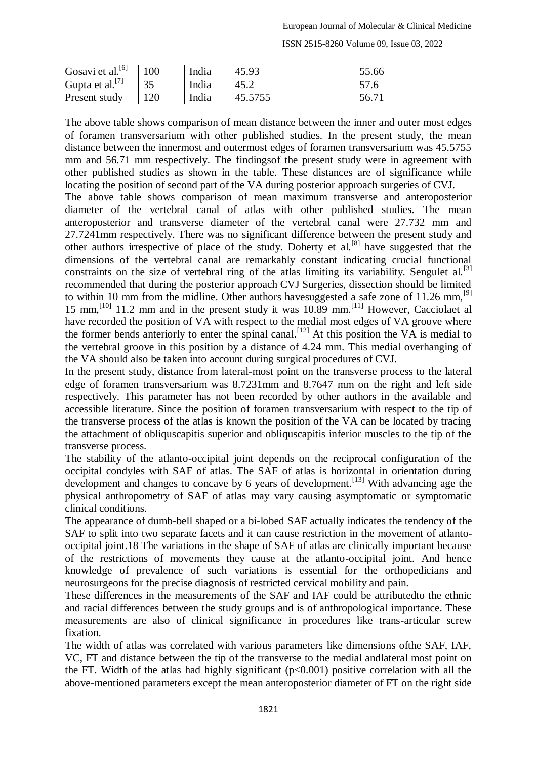| Gosavi et al. <sup>[6]</sup> | 100      | India | 45.93   | 55.66      |
|------------------------------|----------|-------|---------|------------|
| Gupta et al. $\frac{1}{1}$   | 25<br>υJ | India | 45.2    | 57<br>21.0 |
| Present study                | 120      | India | 45.5755 | 56.71      |

The above table shows comparison of mean distance between the inner and outer most edges of foramen transversarium with other published studies. In the present study, the mean distance between the innermost and outermost edges of foramen transversarium was 45.5755 mm and 56.71 mm respectively. The findingsof the present study were in agreement with other published studies as shown in the table. These distances are of significance while locating the position of second part of the VA during posterior approach surgeries of CVJ. The above table shows comparison of mean maximum transverse and anteroposterior diameter of the vertebral canal of atlas with other published studies. The mean anteroposterior and transverse diameter of the vertebral canal were 27.732 mm and 27.7241mm respectively. There was no significant difference between the present study and other authors irrespective of place of the study. Doherty et al.[8] have suggested that the dimensions of the vertebral canal are remarkably constant indicating crucial functional constraints on the size of vertebral ring of the atlas limiting its variability. Sengulet al.<sup>[3]</sup> recommended that during the posterior approach CVJ Surgeries, dissection should be limited to within 10 mm from the midline. Other authors have suggested a safe zone of 11.26 mm,  $^{[9]}$ 15 mm,<sup>[10]</sup> 11.2 mm and in the present study it was  $10.89$  mm.<sup>[11]</sup> However, Cacciolaet al have recorded the position of VA with respect to the medial most edges of VA groove where the former bends anteriorly to enter the spinal canal.<sup>[12]</sup> At this position the VA is medial to the vertebral groove in this position by a distance of 4.24 mm. This medial overhanging of the VA should also be taken into account during surgical procedures of CVJ.

In the present study, distance from lateral-most point on the transverse process to the lateral edge of foramen transversarium was 8.7231mm and 8.7647 mm on the right and left side respectively. This parameter has not been recorded by other authors in the available and accessible literature. Since the position of foramen transversarium with respect to the tip of the transverse process of the atlas is known the position of the VA can be located by tracing the attachment of obliquscapitis superior and obliquscapitis inferior muscles to the tip of the transverse process.

The stability of the atlanto-occipital joint depends on the reciprocal configuration of the occipital condyles with SAF of atlas. The SAF of atlas is horizontal in orientation during development and changes to concave by 6 years of development.<sup>[13]</sup> With advancing age the physical anthropometry of SAF of atlas may vary causing asymptomatic or symptomatic clinical conditions.

The appearance of dumb-bell shaped or a bi-lobed SAF actually indicates the tendency of the SAF to split into two separate facets and it can cause restriction in the movement of atlantooccipital joint.18 The variations in the shape of SAF of atlas are clinically important because of the restrictions of movements they cause at the atlanto-occipital joint. And hence knowledge of prevalence of such variations is essential for the orthopedicians and neurosurgeons for the precise diagnosis of restricted cervical mobility and pain.

These differences in the measurements of the SAF and IAF could be attributedto the ethnic and racial differences between the study groups and is of anthropological importance. These measurements are also of clinical significance in procedures like trans-articular screw fixation.

The width of atlas was correlated with various parameters like dimensions ofthe SAF, IAF, VC, FT and distance between the tip of the transverse to the medial andlateral most point on the FT. Width of the atlas had highly significant (p<0.001) positive correlation with all the above-mentioned parameters except the mean anteroposterior diameter of FT on the right side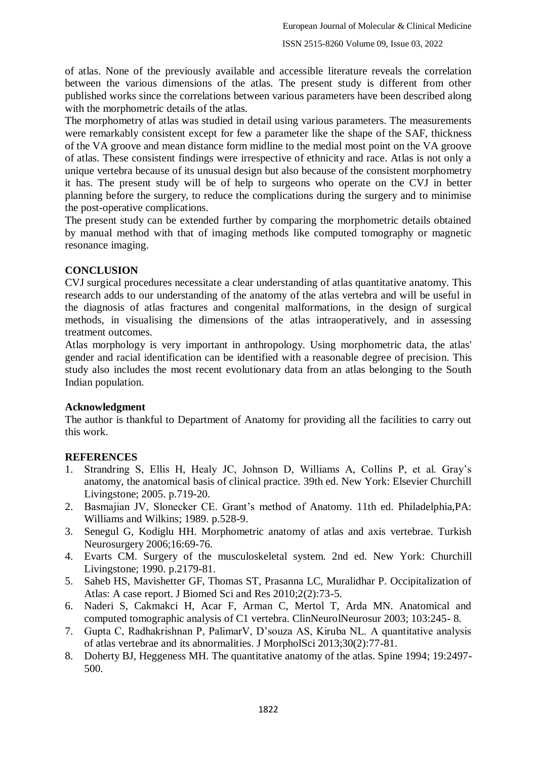of atlas. None of the previously available and accessible literature reveals the correlation between the various dimensions of the atlas. The present study is different from other published works since the correlations between various parameters have been described along with the morphometric details of the atlas.

The morphometry of atlas was studied in detail using various parameters. The measurements were remarkably consistent except for few a parameter like the shape of the SAF, thickness of the VA groove and mean distance form midline to the medial most point on the VA groove of atlas. These consistent findings were irrespective of ethnicity and race. Atlas is not only a unique vertebra because of its unusual design but also because of the consistent morphometry it has. The present study will be of help to surgeons who operate on the CVJ in better planning before the surgery, to reduce the complications during the surgery and to minimise the post-operative complications.

The present study can be extended further by comparing the morphometric details obtained by manual method with that of imaging methods like computed tomography or magnetic resonance imaging.

## **CONCLUSION**

CVJ surgical procedures necessitate a clear understanding of atlas quantitative anatomy. This research adds to our understanding of the anatomy of the atlas vertebra and will be useful in the diagnosis of atlas fractures and congenital malformations, in the design of surgical methods, in visualising the dimensions of the atlas intraoperatively, and in assessing treatment outcomes.

Atlas morphology is very important in anthropology. Using morphometric data, the atlas' gender and racial identification can be identified with a reasonable degree of precision. This study also includes the most recent evolutionary data from an atlas belonging to the South Indian population.

### **Acknowledgment**

The author is thankful to Department of Anatomy for providing all the facilities to carry out this work.

# **REFERENCES**

- 1. Strandring S, Ellis H, Healy JC, Johnson D, Williams A, Collins P, et al. Gray's anatomy, the anatomical basis of clinical practice. 39th ed. New York: Elsevier Churchill Livingstone; 2005. p.719-20.
- 2. Basmajian JV, Slonecker CE. Grant's method of Anatomy. 11th ed. Philadelphia,PA: Williams and Wilkins; 1989. p.528-9.
- 3. Senegul G, Kodiglu HH. Morphometric anatomy of atlas and axis vertebrae. Turkish Neurosurgery 2006;16:69-76.
- 4. Evarts CM. Surgery of the musculoskeletal system. 2nd ed. New York: Churchill Livingstone; 1990. p.2179-81.
- 5. Saheb HS, Mavishetter GF, Thomas ST, Prasanna LC, Muralidhar P. Occipitalization of Atlas: A case report. J Biomed Sci and Res 2010;2(2):73-5.
- 6. Naderi S, Cakmakci H, Acar F, Arman C, Mertol T, Arda MN. Anatomical and computed tomographic analysis of C1 vertebra. ClinNeurolNeurosur 2003; 103:245- 8.
- 7. Gupta C, Radhakrishnan P, PalimarV, D'souza AS, Kiruba NL. A quantitative analysis of atlas vertebrae and its abnormalities. J MorpholSci 2013;30(2):77-81.
- 8. Doherty BJ, Heggeness MH. The quantitative anatomy of the atlas. Spine 1994; 19:2497- 500.